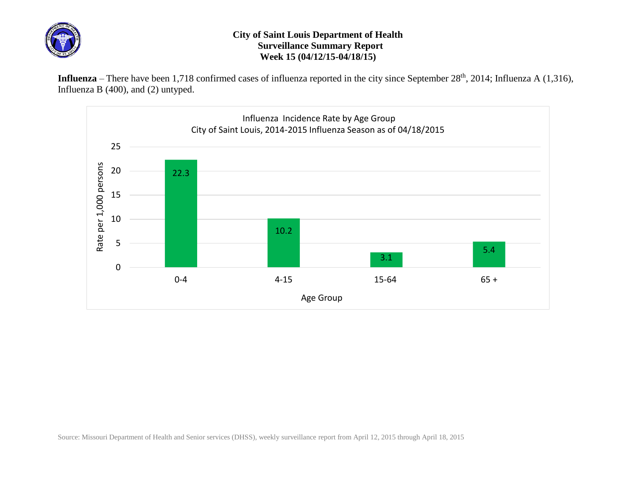

## **City of Saint Louis Department of Health Surveillance Summary Report Week 15 (04/12/15-04/18/15)**

Influenza – There have been 1,718 confirmed cases of influenza reported in the city since September 28<sup>th</sup>, 2014; Influenza A (1,316), Influenza B (400), and (2) untyped.